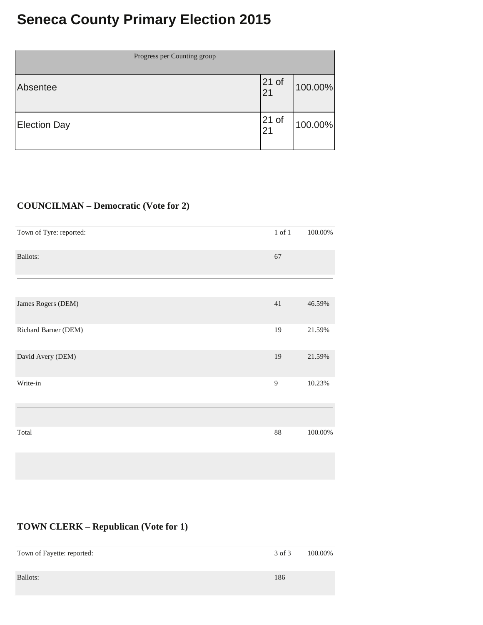# **Seneca County Primary Election 2015**

| Progress per Counting group |               |         |
|-----------------------------|---------------|---------|
| Absentee                    | $21$ of<br>21 | 100.00% |
| <b>Election Day</b>         | $21$ of<br>21 | 100.00% |

### **COUNCILMAN – Democratic (Vote for 2)**

| Town of Tyre: reported: | $1$ of $1$     | 100.00% |
|-------------------------|----------------|---------|
| <b>Ballots:</b>         | 67             |         |
|                         |                |         |
| James Rogers (DEM)      | 41             | 46.59%  |
| Richard Barner (DEM)    | 19             | 21.59%  |
| David Avery (DEM)       | 19             | 21.59%  |
| Write-in                | $\overline{9}$ | 10.23%  |
|                         |                |         |
| Total                   | 88             | 100.00% |

#### **TOWN CLERK – Republican (Vote for 1)**

| Town of Fayette: reported: | 3 of 3 | 100.00% |
|----------------------------|--------|---------|
| Ballots:                   | 186    |         |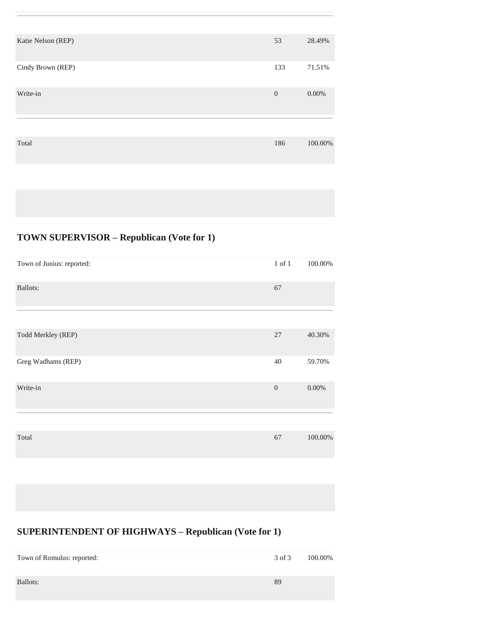| Katie Nelson (REP) | 53           | 28.49%   |
|--------------------|--------------|----------|
| Cindy Brown (REP)  | 133          | 71.51%   |
| Write-in           | $\mathbf{0}$ | $0.00\%$ |
|                    |              |          |
| Total              | 186          | 100.00%  |
|                    |              |          |

## **TOWN SUPERVISOR – Republican (Vote for 1)**

| Town of Junius: reported: | $1$ of $1$   | 100.00%  |
|---------------------------|--------------|----------|
| Ballots:                  | 67           |          |
|                           |              |          |
| Todd Merkley (REP)        | 27           | 40.30%   |
| Greg Wadhams (REP)        | 40           | 59.70%   |
| Write-in                  | $\mathbf{0}$ | $0.00\%$ |
|                           |              |          |
| Total                     | 67           | 100.00%  |

## **SUPERINTENDENT OF HIGHWAYS – Republican (Vote for 1)**

| Town of Romulus: reported: | 3 of 3 | 100.00% |
|----------------------------|--------|---------|
| Ballots:                   | 89     |         |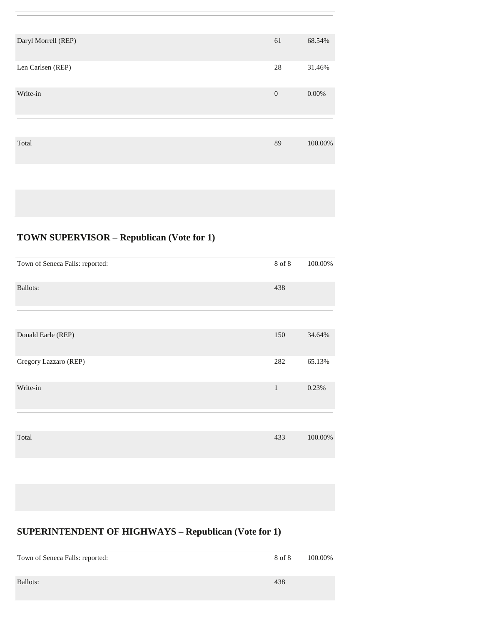| Daryl Morrell (REP) | 61             | 68.54%   |
|---------------------|----------------|----------|
| Len Carlsen (REP)   | 28             | 31.46%   |
| Write-in            | $\overline{0}$ | $0.00\%$ |
|                     |                |          |
| Total               | 89             | 100.00%  |
|                     |                |          |

## **TOWN SUPERVISOR – Republican (Vote for 1)**

| Town of Seneca Falls: reported: | 8 of 8       | 100.00% |
|---------------------------------|--------------|---------|
| Ballots:                        | 438          |         |
|                                 |              |         |
| Donald Earle (REP)              | 150          | 34.64%  |
| Gregory Lazzaro (REP)           | 282          | 65.13%  |
| Write-in                        | $\mathbf{1}$ | 0.23%   |
|                                 |              |         |
| Total                           | 433          | 100.00% |

## **SUPERINTENDENT OF HIGHWAYS – Republican (Vote for 1)**

| Town of Seneca Falls: reported: | 8 of 8 | 100.00% |
|---------------------------------|--------|---------|
| Ballots:                        | 438    |         |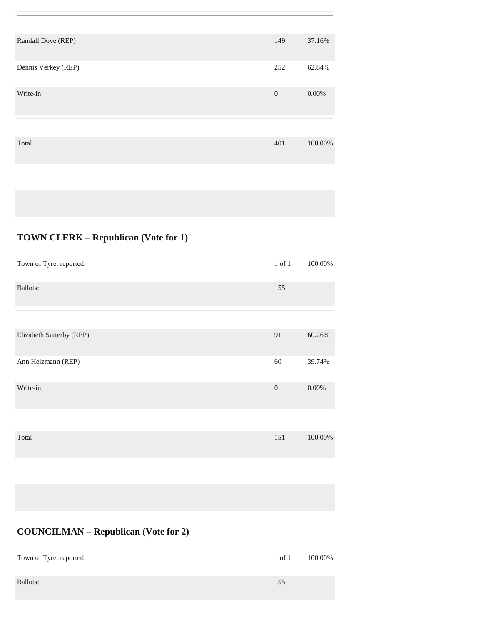| Randall Dove (REP)  | 149          | 37.16%   |
|---------------------|--------------|----------|
| Dennis Verkey (REP) | 252          | 62.84%   |
| Write-in            | $\mathbf{0}$ | $0.00\%$ |
|                     |              |          |
| Total               | 401          | 100.00%  |
|                     |              |          |

# **TOWN CLERK – Republican (Vote for 1)**

| Town of Tyre: reported:  | $1$ of $1$     | 100.00%  |
|--------------------------|----------------|----------|
| Ballots:                 | 155            |          |
|                          |                |          |
| Elizabeth Sutterby (REP) | 91             | 60.26%   |
| Ann Heizmann (REP)       | 60             | 39.74%   |
| Write-in                 | $\overline{0}$ | $0.00\%$ |
|                          |                |          |
| Total                    | 151            | 100.00%  |
|                          |                |          |

# **COUNCILMAN – Republican (Vote for 2)**

| Town of Tyre: reported: | $1$ of $1$ | 100.00% |
|-------------------------|------------|---------|
| Ballots:                | 155        |         |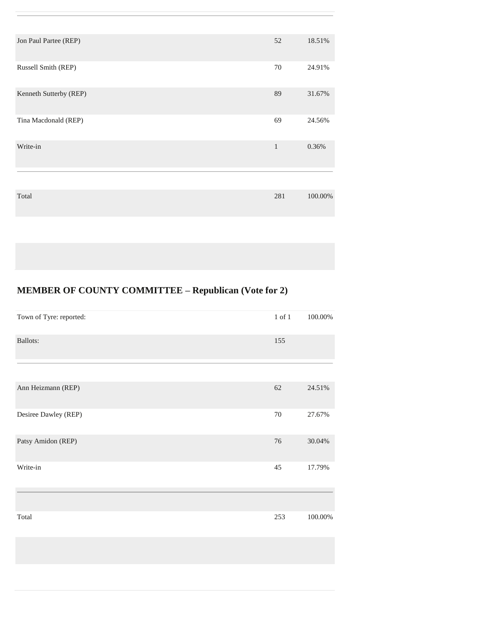| Jon Paul Partee (REP)  | 52           | 18.51%  |
|------------------------|--------------|---------|
| Russell Smith (REP)    | 70           | 24.91%  |
| Kenneth Sutterby (REP) | 89           | 31.67%  |
| Tina Macdonald (REP)   | 69           | 24.56%  |
| Write-in               | $\mathbf{1}$ | 0.36%   |
|                        |              |         |
| Total                  | 281          | 100.00% |
|                        |              |         |

## **MEMBER OF COUNTY COMMITTEE – Republican (Vote for 2)**

| Town of Tyre: reported: | $1$ of $1$ | 100.00% |
|-------------------------|------------|---------|
| Ballots:                | 155        |         |
|                         |            |         |
| Ann Heizmann (REP)      | 62         | 24.51%  |
| Desiree Dawley (REP)    | $70\,$     | 27.67%  |
| Patsy Amidon (REP)      | 76         | 30.04%  |
| Write-in                | 45         | 17.79%  |
|                         |            |         |
| Total                   | 253        | 100.00% |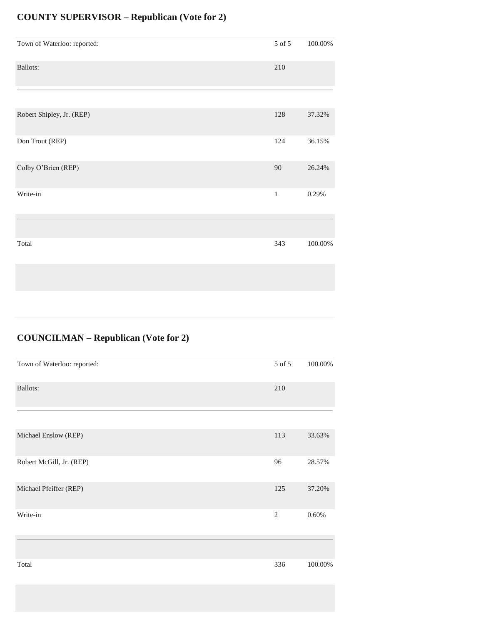### **COUNTY SUPERVISOR – Republican (Vote for 2)**

| Town of Waterloo: reported: | 5 of 5  | 100.00%    |
|-----------------------------|---------|------------|
| Ballots:                    | $210\,$ |            |
|                             |         |            |
| Robert Shipley, Jr. (REP)   | 128     | 37.32%     |
| Don Trout (REP)             | 124     | 36.15%     |
| Colby O'Brien (REP)         | 90      | 26.24%     |
| Write-in                    | $\,1$   | 0.29%      |
|                             |         |            |
| Total                       | 343     | $100.00\%$ |
|                             |         |            |

### **COUNCILMAN – Republican (Vote for 2)**

| Town of Waterloo: reported: | 5 of 5         | 100.00% |
|-----------------------------|----------------|---------|
| Ballots:                    | 210            |         |
|                             |                |         |
| Michael Enslow (REP)        | 113            | 33.63%  |
| Robert McGill, Jr. (REP)    | 96             | 28.57%  |
| Michael Pfeiffer (REP)      | 125            | 37.20%  |
| Write-in                    | $\overline{2}$ | 0.60%   |
|                             |                |         |
| Total                       | 336            | 100.00% |